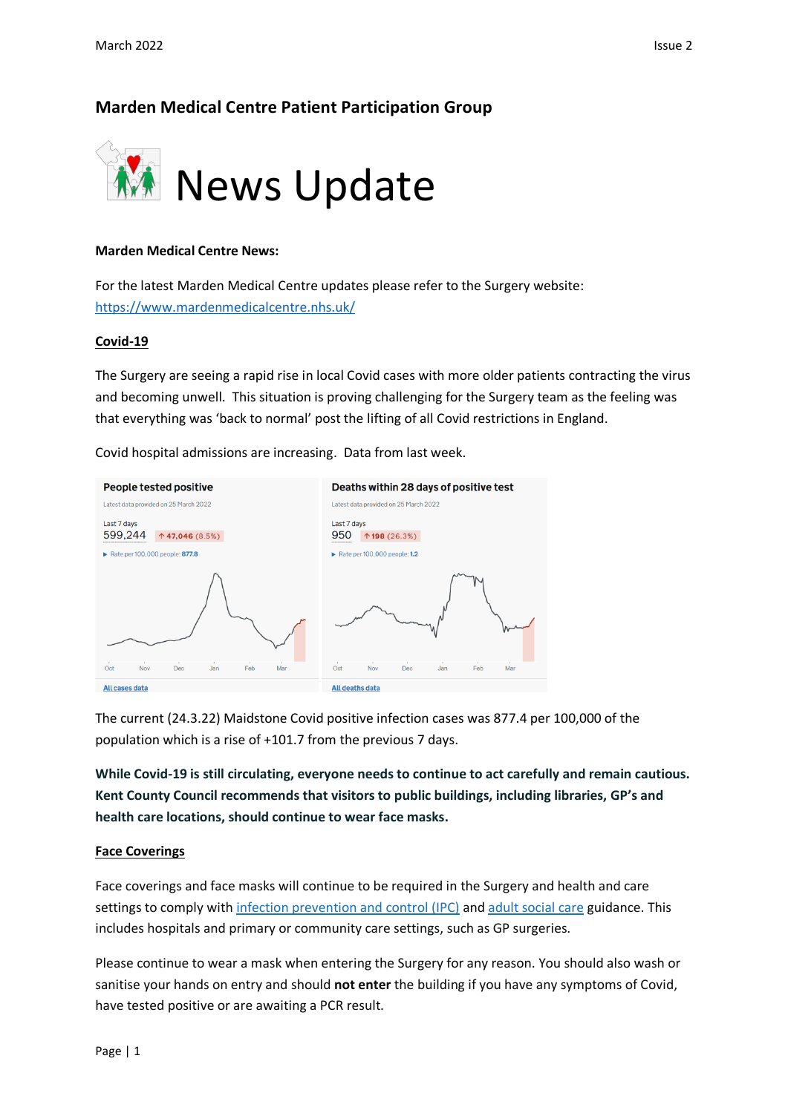# **Marden Medical Centre Patient Participation Group**



### **Marden Medical Centre News:**

For the latest Marden Medical Centre updates please refer to the Surgery website: <https://www.mardenmedicalcentre.nhs.uk/>

#### **Covid-19**

The Surgery are seeing a rapid rise in local Covid cases with more older patients contracting the virus and becoming unwell. This situation is proving challenging for the Surgery team as the feeling was that everything was 'back to normal' post the lifting of all Covid restrictions in England.

Covid hospital admissions are increasing. Data from last week.



The current (24.3.22) Maidstone Covid positive infection cases was 877.4 per 100,000 of the population which is a rise of +101.7 from the previous 7 days.

**While Covid-19 is still circulating, everyone needs to continue to act carefully and remain cautious. Kent County Council recommends that visitors to public buildings, including libraries, GP's and health care locations, should continue to wear face masks.**

### **Face Coverings**

Face coverings and face masks will continue to be required in the Surgery and health and care settings to comply with [infection prevention and control \(IPC\)](https://www.gov.uk/government/publications/wuhan-novel-coronavirus-infection-prevention-and-control/covid-19-guidance-for-maintaining-services-within-health-and-care-settings-infection-prevention-and-control-recommendations) and [adult social care](https://www.gov.uk/government/collections/coronavirus-covid-19-social-care-guidance) guidance. This includes hospitals and primary or community care settings, such as GP surgeries.

Please continue to wear a mask when entering the Surgery for any reason. You should also wash or sanitise your hands on entry and should **not enter** the building if you have any symptoms of Covid, have tested positive or are awaiting a PCR result.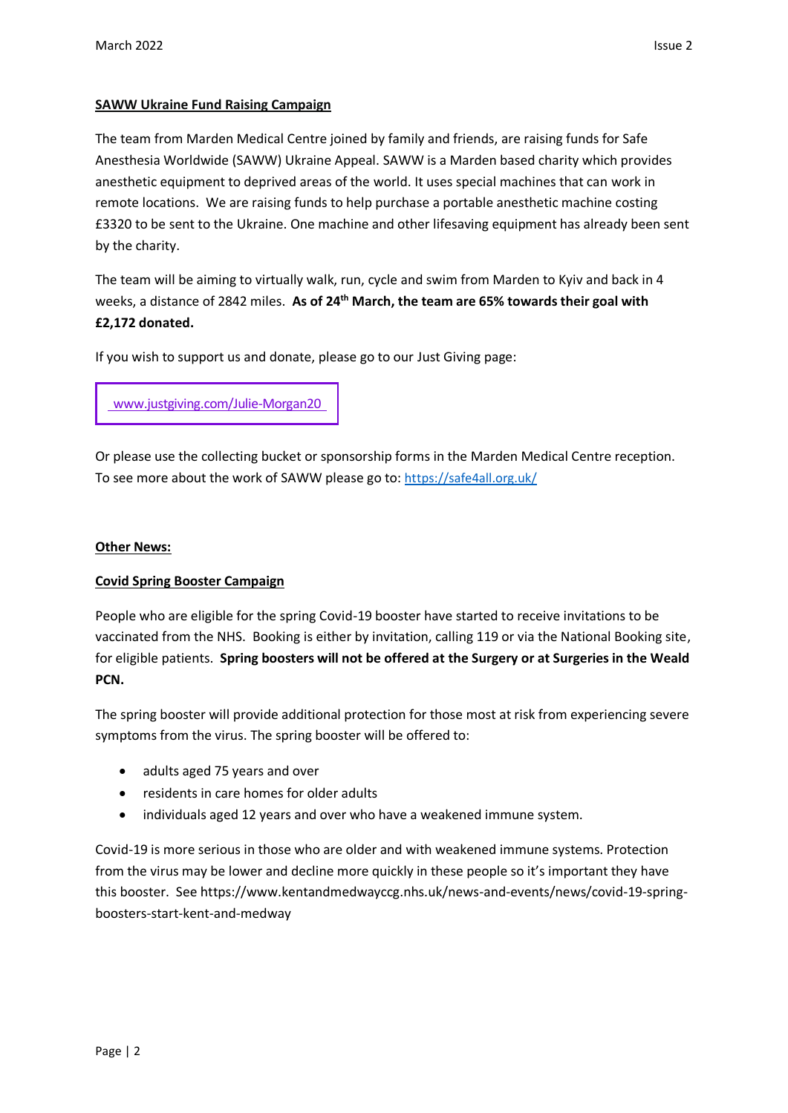# **SAWW Ukraine Fund Raising Campaign**

The team from Marden Medical Centre joined by family and friends, are raising funds for Safe Anesthesia Worldwide (SAWW) Ukraine Appeal. SAWW is a Marden based charity which provides anesthetic equipment to deprived areas of the world. It uses special machines that can work in remote locations. We are raising funds to help purchase a portable anesthetic machine costing £3320 to be sent to the Ukraine. One machine and other lifesaving equipment has already been sent by the charity.

The team will be aiming to virtually walk, run, cycle and swim from Marden to Kyiv and back in 4 weeks, a distance of 2842 miles. **As of 24th March, the team are 65% towards their goal with £2,172 donated.**

If you wish to support us and donate, please go to our Just Giving page:

[www.justgiving.com/Julie-Morgan20](https://trk.justgiving.com/f/a/4ZJw0CdCBRlECwGLUBw6FQ~~/AAME8QA~/RgRkDOMQP0T0aHR0cHM6Ly93d3cuanVzdGdpdmluZy5jb20vZnVuZHJhaXNpbmcvSnVsaWUtTW9yZ2FuMjA_dXRtX2NhbXBhaWduPWxjX2ZycF9zaGFyZV90cmFuc2FjdGlvbl90cmFuc2FjdGlvbmFsXy0tX3BhZ2VfbGF1bmNoZWRfLS1fY2hhcml0eSZ1dG1fY29udGVudD1iZDQyOTY4ZC02ZjJlLTRkZDktOGE4Yy0yNmY3M2ZhNTkyM2UmdXRtX21lZGl1bT1lbWFpbCZ1dG1fc291cmNlPXBvc3RvZmZpY2UmdXRtX3Rlcm09MTY0Njk0Mzc1OTUzM1cDc3BjQgpiJxBeKmLYcx7DUhlqdWxpZW1vcmdhbjI2MDFAZ21haWwuY29tWAQAAAAD)

Or please use the collecting bucket or sponsorship forms in the Marden Medical Centre reception. To see more about the work of SAWW please go to: <https://safe4all.org.uk/>

## **Other News:**

### **Covid Spring Booster Campaign**

People who are eligible for the spring Covid-19 booster have started to receive invitations to be vaccinated from the NHS. Booking is either by invitation, calling 119 or via the National Booking site, for eligible patients. **Spring boosters will not be offered at the Surgery or at Surgeries in the Weald PCN.**

The spring booster will provide additional protection for those most at risk from experiencing severe symptoms from the virus. The spring booster will be offered to:

- adults aged 75 years and over
- residents in care homes for older adults
- individuals aged 12 years and over who have a weakened immune system.

Covid-19 is more serious in those who are older and with weakened immune systems. Protection from the virus may be lower and decline more quickly in these people so it's important they have this booster. See https://www.kentandmedwayccg.nhs.uk/news-and-events/news/covid-19-springboosters-start-kent-and-medway